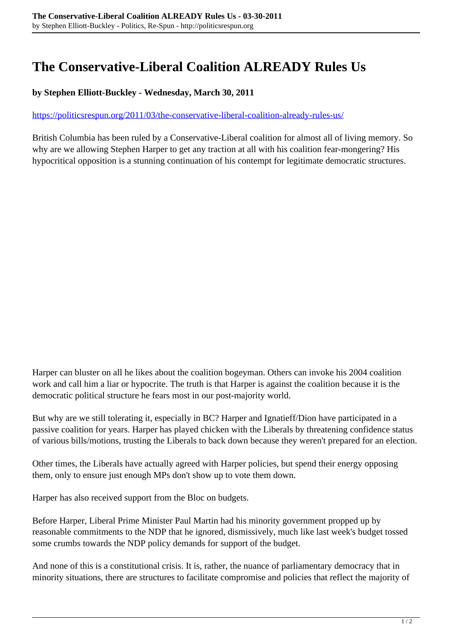## **The Conservative-Liberal Coalition ALREADY Rules Us**

## **by Stephen Elliott-Buckley - Wednesday, March 30, 2011**

## <https://politicsrespun.org/2011/03/the-conservative-liberal-coalition-already-rules-us/>

British Columbia has been ruled by a Conservative-Liberal coalition for almost all of living memory. So why are we allowing Stephen Harper to get any traction at all with his coalition fear-mongering? His hypocritical opposition is a stunning continuation of his contempt for legitimate democratic structures.

Harper can bluster on all he likes about the coalition bogeyman. Others can invoke his 2004 coalition work and call him a liar or hypocrite. The truth is that Harper is against the coalition because it is the democratic political structure he fears most in our post-majority world.

But why are we still tolerating it, especially in BC? Harper and Ignatieff/Dion have participated in a passive coalition for years. Harper has played chicken with the Liberals by threatening confidence status of various bills/motions, trusting the Liberals to back down because they weren't prepared for an election.

Other times, the Liberals have actually agreed with Harper policies, but spend their energy opposing them, only to ensure just enough MPs don't show up to vote them down.

Harper has also received support from the Bloc on budgets.

Before Harper, Liberal Prime Minister Paul Martin had his minority government propped up by reasonable commitments to the NDP that he ignored, dismissively, much like last week's budget tossed some crumbs towards the NDP policy demands for support of the budget.

And none of this is a constitutional crisis. It is, rather, the nuance of parliamentary democracy that in minority situations, there are structures to facilitate compromise and policies that reflect the majority of